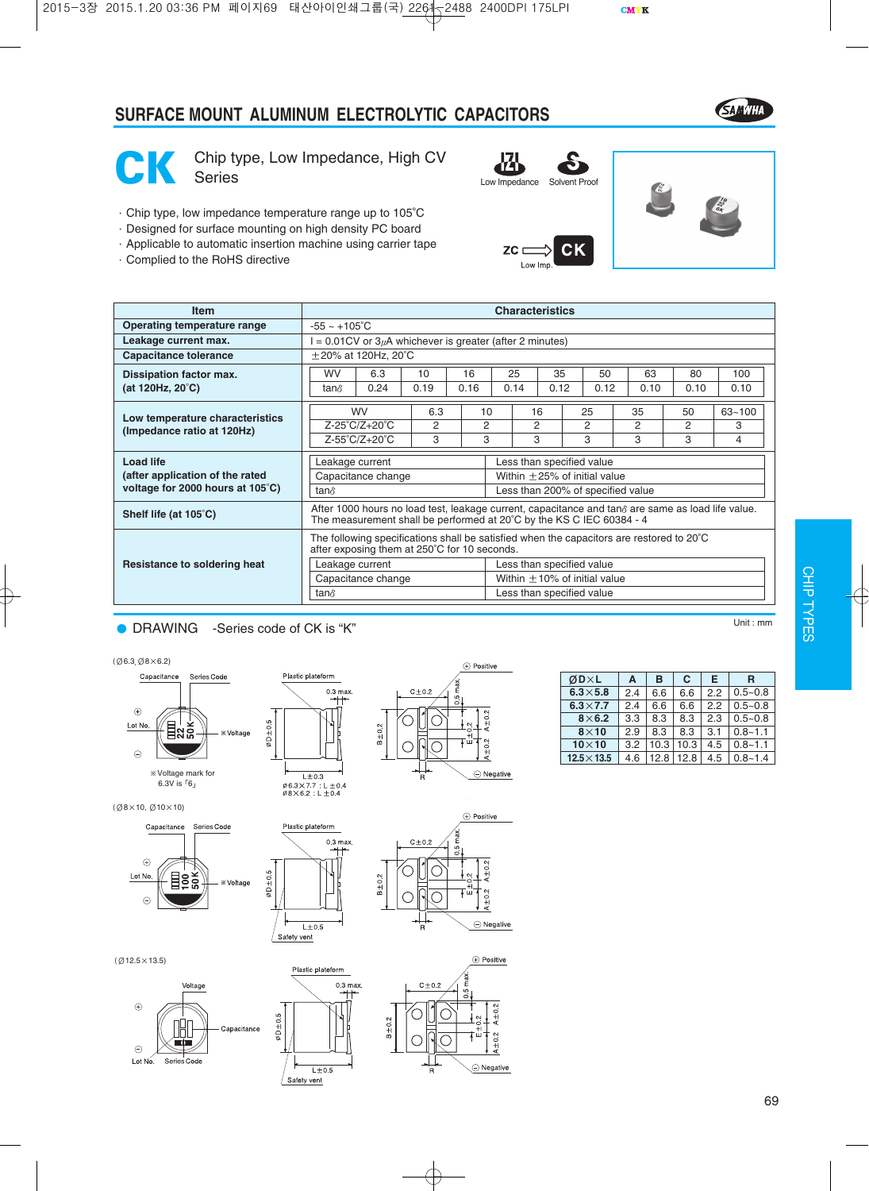## **SURFACE MOUNT ALUMINUM ELECTROLYTIC CAPACITORS**





Chip type, Low Impedance, High CV<br>Series

- ·Chip type, low impedance temperature range up to 105°C
- ·Designed for surface mounting on high density PC board
- ·Applicable to automatic insertion machine using carrier tape
- ·Complied to the RoHS directive





| <b>Item</b>                      | <b>Characteristics</b>                                                                                                                                                            |                                                                 |      |      |    |      |      |                                   |      |      |            |  |  |
|----------------------------------|-----------------------------------------------------------------------------------------------------------------------------------------------------------------------------------|-----------------------------------------------------------------|------|------|----|------|------|-----------------------------------|------|------|------------|--|--|
| Operating temperature range      |                                                                                                                                                                                   | $-55 - +105^{\circ}$ C                                          |      |      |    |      |      |                                   |      |      |            |  |  |
| Leakage current max.             |                                                                                                                                                                                   | $= 0.01$ CV or 3 $\mu$ A whichever is greater (after 2 minutes) |      |      |    |      |      |                                   |      |      |            |  |  |
| <b>Capacitance tolerance</b>     |                                                                                                                                                                                   | $\pm$ 20% at 120Hz, 20°C                                        |      |      |    |      |      |                                   |      |      |            |  |  |
| Dissipation factor max.          | 10<br>16<br>25<br>35<br>63<br><b>WV</b><br>6.3<br>$50^{\circ}$                                                                                                                    |                                                                 |      |      |    |      |      |                                   |      | 80   | 100        |  |  |
| (at 120Hz, $20^{\circ}$ C)       | tan∂                                                                                                                                                                              | 0.24                                                            | 0.19 | 0.16 |    | 0.14 | 0.12 | 0.12                              | 0.10 | 0.10 | 0.10       |  |  |
| Low temperature characteristics  |                                                                                                                                                                                   | <b>WV</b>                                                       | 6.3  |      | 10 | 16   |      | 25                                | 35   | 50   | $63 - 100$ |  |  |
| (Impedance ratio at 120Hz)       |                                                                                                                                                                                   | $Z-25^{\circ}C/Z+20^{\circ}C$                                   | 2    |      | 2  | 2    |      | 2                                 | 2    | 2    | 3          |  |  |
|                                  | Z-55°C/Z+20°C                                                                                                                                                                     |                                                                 | 3    |      | 3  | 3    |      | 3                                 | 3    | 3    | 4          |  |  |
| <b>Load life</b>                 | Leakage current                                                                                                                                                                   |                                                                 |      |      |    |      |      | Less than specified value         |      |      |            |  |  |
| (after application of the rated  | Within $\pm$ 25% of initial value<br>Capacitance change                                                                                                                           |                                                                 |      |      |    |      |      |                                   |      |      |            |  |  |
| voltage for 2000 hours at 105°C) | Less than 200% of specified value<br>tan∂                                                                                                                                         |                                                                 |      |      |    |      |      |                                   |      |      |            |  |  |
| Shelf life (at 105°C)            | After 1000 hours no load test, leakage current, capacitance and tan $\delta$ are same as load life value.<br>The measurement shall be performed at 20°C by the KS C IEC 60384 - 4 |                                                                 |      |      |    |      |      |                                   |      |      |            |  |  |
|                                  | The following specifications shall be satisfied when the capacitors are restored to $20^{\circ}$ C<br>after exposing them at 250°C for 10 seconds.                                |                                                                 |      |      |    |      |      |                                   |      |      |            |  |  |
| Resistance to soldering heat     | Leakage current                                                                                                                                                                   |                                                                 |      |      |    |      |      | Less than specified value         |      |      |            |  |  |
|                                  |                                                                                                                                                                                   | Capacitance change                                              |      |      |    |      |      | Within $\pm$ 10% of initial value |      |      |            |  |  |
|                                  | tan∂                                                                                                                                                                              |                                                                 |      |      |    |      |      | Less than specified value         |      |      |            |  |  |

### ● DRAWING -Series code of CK is "K" Network and the Unit : mm













Safety vent

Plastic plateform

 $L\pm 0.5$ Safety vent

 $\overline{ }$ 



С

 $\widehat{\phantom{a}}$ 

 $\oplus$  Positive

 $A + 0.2$ 

 $A \pm 0.2$ 

 $\ominus$  Negative

(Ø12.5×13.5)





| −      |
|--------|
|        |
|        |
| ╾      |
|        |
|        |
|        |
|        |
|        |
|        |
|        |
|        |
|        |
|        |
|        |
|        |
|        |
|        |
|        |
|        |
|        |
|        |
|        |
|        |
|        |
|        |
|        |
|        |
|        |
|        |
|        |
|        |
|        |
|        |
|        |
|        |
|        |
|        |
|        |
|        |
|        |
|        |
| ä<br>ĵ |
|        |
|        |
|        |
|        |
|        |
|        |
|        |
|        |
|        |
|        |
|        |
|        |
|        |
|        |
|        |
|        |
|        |
|        |
|        |
|        |
|        |
|        |
|        |
|        |
|        |
|        |
|        |
|        |
|        |
|        |
|        |
|        |
|        |

CHIP T

| ØD×L               | A   | в    | C    | Е   | R           |
|--------------------|-----|------|------|-----|-------------|
| $6.3 \times 5.8$   | 2.4 | 6.6  | 6.6  | 22  | $0.5 - 0.8$ |
| $6.3\times7.7$     | 2.4 | 6.6  | 6.6  | 22  | $0.5 - 0.8$ |
| $8\times 6.2$      | 3.3 | 8.3  | 8.3  | 2.3 | $0.5 - 0.8$ |
| $8\times10$        | 2.9 | 8.3  | 8.3  | 3.1 | $0.8 - 1.1$ |
| $10\times10$       | 3.2 | 10.3 | 10.3 | 4.5 | $0.8 - 1.1$ |
| $12.5 \times 13.5$ | 4.6 | 12.8 | 12.8 | 4.5 | $0.8 - 1.4$ |

69